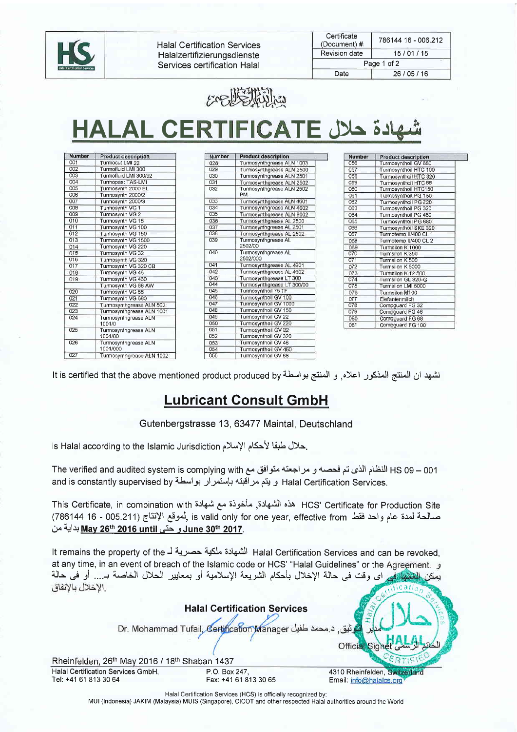

**Halal Certification Services** Halalzertifizierungsdienste Services certification Halal

| Certificate<br>(Document) # | 786144 16 - 006.212 |  |  |
|-----------------------------|---------------------|--|--|
| Revision date               | 15/01/15            |  |  |
| Page 1 of 2                 |                     |  |  |
| Date                        | 26/05/16            |  |  |



ادة حلال HALAL CERTIFICATE

| 001<br>Turmocut LMI 22<br>002<br>Turmofluid LMI 300<br>003<br>Turmofluid LMI 300/92<br>004<br>Turmopast TAS-LMI<br>005<br>Turmosvnth 2000 EL<br>006<br>Turmosynth 2000/2<br>007<br>Turmosynth 2000/3<br>008<br>Turmosynth VG 1<br>009<br>Turmosynth VG 2<br>010<br>Turmosynth VG 15<br>011<br>Turmosynth VG 100<br>012<br>Turmosynth VG 150<br>013<br>Turmosynth VG 1500<br>014<br>Turmosynth VG 220<br>015<br>Turmosynth VG 32<br>016<br>Turmosynth VG 320<br>017<br>Turmosynth VG 320 CB<br>018<br>Turmosynth VG 46<br>019<br>Turmosynth VG 460 |  |
|---------------------------------------------------------------------------------------------------------------------------------------------------------------------------------------------------------------------------------------------------------------------------------------------------------------------------------------------------------------------------------------------------------------------------------------------------------------------------------------------------------------------------------------------------|--|
|                                                                                                                                                                                                                                                                                                                                                                                                                                                                                                                                                   |  |
|                                                                                                                                                                                                                                                                                                                                                                                                                                                                                                                                                   |  |
|                                                                                                                                                                                                                                                                                                                                                                                                                                                                                                                                                   |  |
|                                                                                                                                                                                                                                                                                                                                                                                                                                                                                                                                                   |  |
|                                                                                                                                                                                                                                                                                                                                                                                                                                                                                                                                                   |  |
|                                                                                                                                                                                                                                                                                                                                                                                                                                                                                                                                                   |  |
|                                                                                                                                                                                                                                                                                                                                                                                                                                                                                                                                                   |  |
|                                                                                                                                                                                                                                                                                                                                                                                                                                                                                                                                                   |  |
|                                                                                                                                                                                                                                                                                                                                                                                                                                                                                                                                                   |  |
|                                                                                                                                                                                                                                                                                                                                                                                                                                                                                                                                                   |  |
|                                                                                                                                                                                                                                                                                                                                                                                                                                                                                                                                                   |  |
|                                                                                                                                                                                                                                                                                                                                                                                                                                                                                                                                                   |  |
|                                                                                                                                                                                                                                                                                                                                                                                                                                                                                                                                                   |  |
|                                                                                                                                                                                                                                                                                                                                                                                                                                                                                                                                                   |  |
|                                                                                                                                                                                                                                                                                                                                                                                                                                                                                                                                                   |  |
|                                                                                                                                                                                                                                                                                                                                                                                                                                                                                                                                                   |  |
|                                                                                                                                                                                                                                                                                                                                                                                                                                                                                                                                                   |  |
|                                                                                                                                                                                                                                                                                                                                                                                                                                                                                                                                                   |  |
|                                                                                                                                                                                                                                                                                                                                                                                                                                                                                                                                                   |  |
| Turmosynth VG 68 AW                                                                                                                                                                                                                                                                                                                                                                                                                                                                                                                               |  |
| 020<br>Turmosynth VG 68                                                                                                                                                                                                                                                                                                                                                                                                                                                                                                                           |  |
| 021<br>Turmosynth VG 680                                                                                                                                                                                                                                                                                                                                                                                                                                                                                                                          |  |
| Turmosynthgrease ALN 502<br>022                                                                                                                                                                                                                                                                                                                                                                                                                                                                                                                   |  |
| 023<br>Turmosynthgrease ALN 1001                                                                                                                                                                                                                                                                                                                                                                                                                                                                                                                  |  |
| 024<br>Turmosynthgrease ALN<br>1001/0                                                                                                                                                                                                                                                                                                                                                                                                                                                                                                             |  |
| 025<br>Turmosynthgrease ALN<br>1001/00                                                                                                                                                                                                                                                                                                                                                                                                                                                                                                            |  |
| 026<br>Turmosynthgrease ALN<br>1001/000                                                                                                                                                                                                                                                                                                                                                                                                                                                                                                           |  |
| 027<br>Turmosynthgrease ALN 1002                                                                                                                                                                                                                                                                                                                                                                                                                                                                                                                  |  |

| Number | <b>Product description</b>      |  |  |
|--------|---------------------------------|--|--|
| 028    | Turmosynthgrease ALN 1003       |  |  |
| 029    | Turmosynthgrease ALN 2500       |  |  |
| 030    | Turmosynthgrease ALN 2501       |  |  |
| 031    | Turmosynthgrease ALN 2502       |  |  |
| 032    | Turmosynthgrease ALN 2502<br>PM |  |  |
| 033    | Turmosynthgrease ALN 4601       |  |  |
| 034    | Turmosynthgrease ALN 4602       |  |  |
| 035    | Turmosynthgrease ALN 8002       |  |  |
| 036    | Turmosynthgrease AL 2500        |  |  |
| 037    | Turmosynthgrease AL 2501        |  |  |
| 038    | Turmosynthgrease AL 2502        |  |  |
| 039    | Turmosynthgrease AL<br>2502/00  |  |  |
| 040    | Turmosynthgrease AL<br>2502/000 |  |  |
| 041    | Turmosynthgrease AL 4601        |  |  |
| 042    | Turmosynthgrease AL 4602        |  |  |
| 043    | Turmosynthgrease LT 300         |  |  |
| 044    | Turmosynthgrease LT 300/00      |  |  |
| 045    | Turmosynthoil 75 TF             |  |  |
| 046    | Turmosynthoil GV 100            |  |  |
| 047    | Turmosynthoil GV 1000           |  |  |
| 048    | Turmosynthoil GV 150            |  |  |
| 049    | Turmosynthoil GV 22             |  |  |
| 050    | Turmosynthoil GV 220            |  |  |
| 051    | Turmosynthoil GV 32             |  |  |
| 052    | Turmosynthoil GV 320            |  |  |
| 053    | Turmosynthoil GV 46             |  |  |
| 054    | Turmosynthoil GV 460            |  |  |
| 055    | Turmosynthoil GV 68             |  |  |

| Number | <b>Product description</b> |
|--------|----------------------------|
| 056    | Turmosynthoil GV 680       |
| 057    | Turmosynthoil HTC 100      |
| 058    | Turmosynthoil HTC 320      |
| 059    | Turmosynthoil HTC 68       |
| 060    | Turmosynthoil HTC150       |
| 061    | Turmosynthoil PG 150       |
| 062    | Turmosynthoil PG 220       |
| 063    | Turmosynthoil PG 320       |
| 064    | Turmosynthoil PG 460       |
| 065    | Turmosynthoil PG 680       |
| 066    | Turmosynthoil SKE 320      |
| 067    | Turmotemp II/400 CL 1      |
| 068    | Turmotemp II/400 CL 2      |
| 069    | Turmsilon K 1000           |
| 070    | Turmsilon K 350            |
| 071    | Turmsilon K 500            |
| 072    | Turmsilon K 6000           |
| 073    | Turmsilon K 12.500         |
| 074    | Turmsilon GL 320-G         |
| 075    | Turmsilon LMI 5000         |
| 076    | Turmsilon M100             |
| 077    | Elefantenmilch             |
| 078    | Compguard FG 32            |
| 079    | Compguard FG 46            |
| 080    | Compguard FG 68            |
| 081    | Compaugrd EG 100           |

نشهد ان المنتج المذكور اعلاه, و المنتج بواسطة It is certified that the above mentioned product produced by

## **Lubricant Consult GmbH**

Gutenbergstrasse 13, 63477 Maintal, Deutschland

is Halal according to the Islamic Jurisdiction ملال لأحكام الإسلام.

001 – 99 HS النظام الذي تم فحصـه و مر اجعته متوافق مع The verified and audited system is complying with .Halal Certification Services و يتم مراقبته بإستمرار بواسطة and is constantly supervised by

HCS' Certificate for Production Site هذه الشهادة, مأخوذة مع شهادة HCS' Certificate for Production Site صالحة لمدة عام واحد فقط is valid only for one year, effective from ,أموقع الإنتاج (786144 16 - 786144) .June 30th 2017 و حتى May 26th 2016 until بداية من

Halal Certification Services and can be revoked, at any time, in an event of breach of the Islamic code or HCS' "Halal Guidelines" or the Agreement. ن اي وقت في حالة الإخلال بأحكام الشريعة الإسلامية أو بمعايير الحلال الخاصة بـ... أو في حالة الاخلال بالاتفاق



Halal Certification Services (HCS) is officially recognized by: MUI (Indonesia) JAKIM (Malaysia) MUIS (Singapore), CICOT and other respected Halal authorities around the World